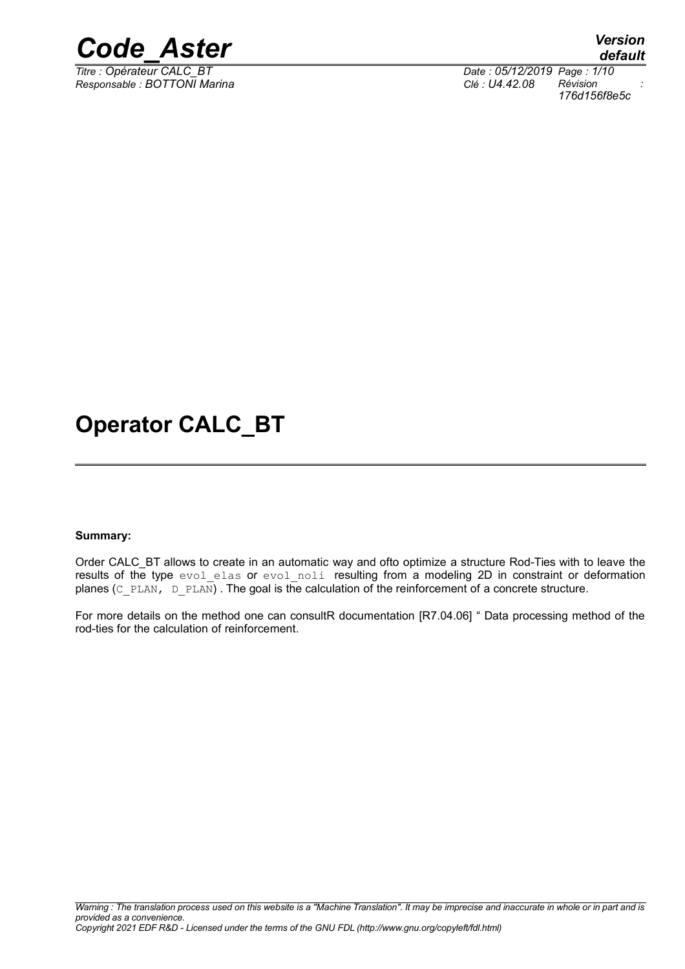

*Responsable : BOTTONI Marina Clé : U4.42.08 Révision :*

*Titre : Opérateur CALC\_BT Date : 05/12/2019 Page : 1/10 176d156f8e5c*

### **Operator CALC\_BT**

#### **Summary:**

Order CALC\_BT allows to create in an automatic way and ofto optimize a structure Rod-Ties with to leave the results of the type evol elas or evol noli resulting from a modeling 2D in constraint or deformation planes ( $C$  PLAN,  $D$  PLAN). The goal is the calculation of the reinforcement of a concrete structure.

For more details on the method one can consultR documentation [R7.04.06] " Data processing method of the rod-ties for the calculation of reinforcement.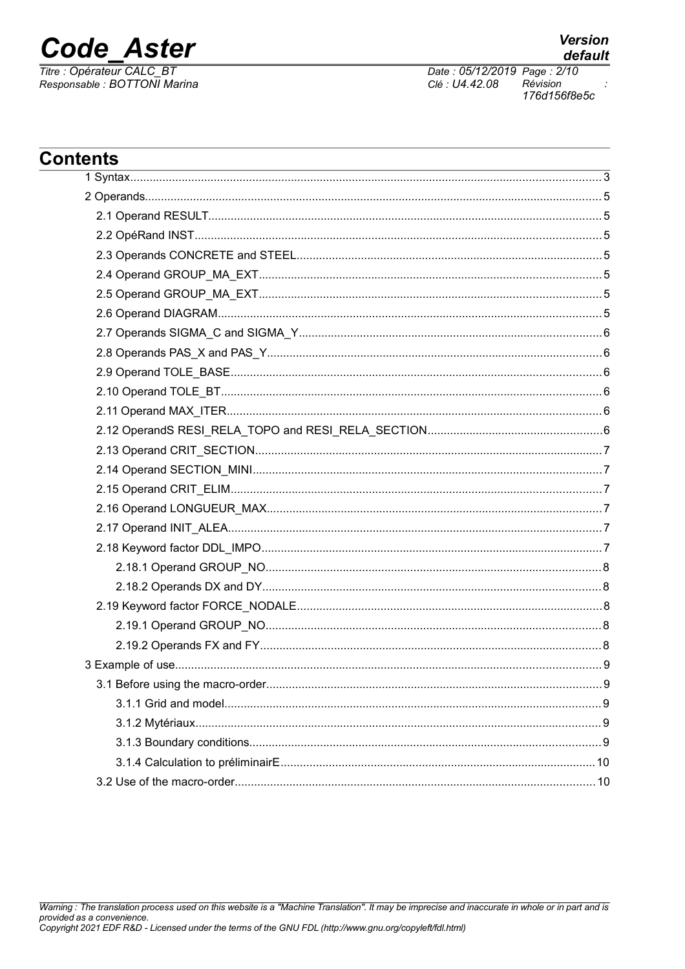

Titre : Opérateur CALC\_BT<br>Responsable : BOTTONI Marina

**Version** 

Date: 05/12/2019 Page: 2/10 Clé : U4.42.08 Révision 176d156f8e5c

| <b>Contents</b><br><u> 1989 - Johann Stoff, amerikansk politiker (d. 1989)</u> |     |
|--------------------------------------------------------------------------------|-----|
|                                                                                |     |
|                                                                                |     |
|                                                                                |     |
|                                                                                |     |
|                                                                                |     |
|                                                                                |     |
|                                                                                |     |
|                                                                                |     |
|                                                                                |     |
|                                                                                |     |
|                                                                                |     |
|                                                                                |     |
|                                                                                |     |
|                                                                                |     |
|                                                                                |     |
|                                                                                |     |
|                                                                                |     |
|                                                                                |     |
|                                                                                |     |
|                                                                                |     |
|                                                                                |     |
|                                                                                |     |
|                                                                                |     |
|                                                                                |     |
|                                                                                |     |
|                                                                                | . 9 |
|                                                                                |     |
|                                                                                |     |
|                                                                                |     |
|                                                                                |     |
|                                                                                |     |
|                                                                                |     |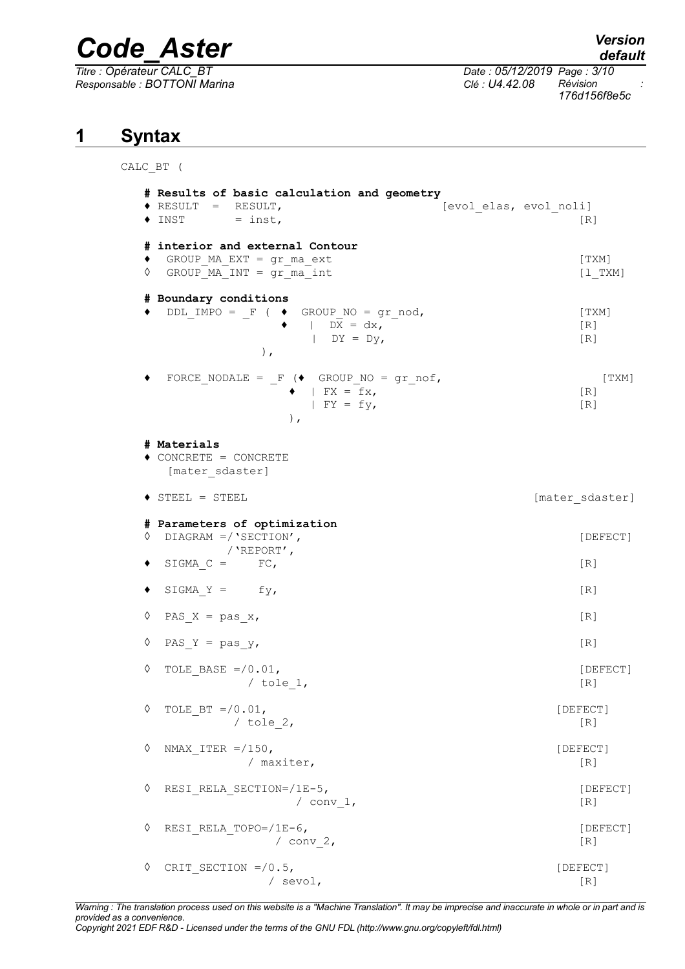*Responsable : BOTTONI Marina Clé : U4.42.08 Révision :*

CALC\_BT (

*default*

*Titre : Opérateur CALC\_BT Date : 05/12/2019 Page : 3/10 176d156f8e5c*

#### **1 Syntax**

```
# Results of basic calculation and geometry
♦ RESULT = RESULT, [evol_elas, evol_noli]
\bullet INST = inst, [R]# interior and external Contour
♦ GROUP_MA_EXT = gr_ma_ext [TXM]
\Diamond GROUP MA INT = gr ma int [l_TXM]
# Boundary conditions
\bullet DDL IMPO = F ( \bullet GROUP NO = gr_nod, [TXM]
            \bullet | DX = dx, [R]
              \mathbb{D}Y = \mathbb{D}V, \lceil R \rceil), \overline{\phantom{a}}FORCE NODALE = F (\blacklozenge GROUP NO = gr_nof, [TXM]
             \bullet | FX = fx, \qquad \qquad [R]
              | FY = fy, [R]\,, \,# Materials
♦ CONCRETE = CONCRETE
  [mater_sdaster]
◆ STEEL = STEEL | contract to the solution of the solution of the solution of the solution of the solution of the solution of the solution of the solution of the solution of the solution of the solution of the solution of
# Parameters of optimization
◊ DIAGRAM =/'SECTION', [DEFECT]
        /'REPORT',
\bullet SIGMA C = FC, [R]
\bullet SIGMA Y = fy, [R]
\Diamond PAS X = pas x, [R]
\Diamond PAS Y = pas y, [R]
\Diamond TOLE BASE =/0.01, [DEFECT]
         / tole 1, [R]\Diamond TOLE BT =/0.01, [DEFECT]
       / tole 2, [R]◊ NMAX_ITER =/150, [DEFECT]
          / maxiter, [R]
◊ RESI_RELA_SECTION=/1E-5, [DEFECT]
             \sqrt{2} conv 1, [R]◊ RESI_RELA_TOPO=/1E-6, [DEFECT]
            \sqrt{2} (R)
◊ CRIT_SECTION =/0.5, [DEFECT]
            / sevol, [R]
```
*Warning : The translation process used on this website is a "Machine Translation". It may be imprecise and inaccurate in whole or in part and is provided as a convenience. Copyright 2021 EDF R&D - Licensed under the terms of the GNU FDL (http://www.gnu.org/copyleft/fdl.html)*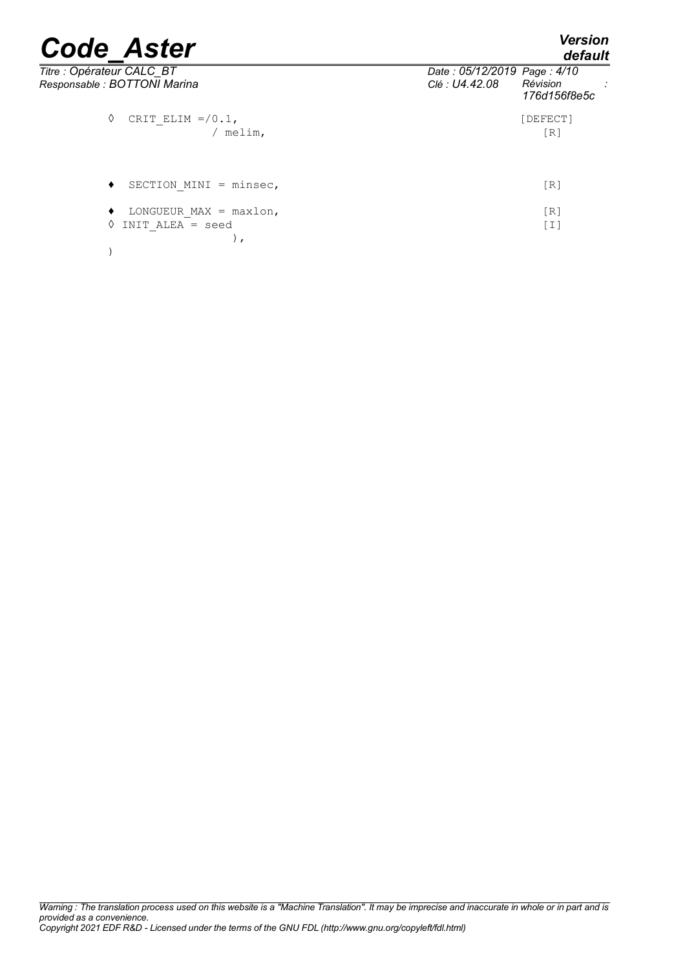*default*

| Titre : Opérateur CALC_BT<br>Responsable : BOTTONI Marina | Date: 05/12/2019 Page: 4/10<br>Clé : U4.42.08 | Révision<br>176d156f8e5c |
|-----------------------------------------------------------|-----------------------------------------------|--------------------------|
| CRIT ELIM $=$ /0.1,<br>♦<br>/ melim,                      |                                               | [DEFECT]<br>[R]          |
| SECTION MINI = $minsec,$<br>٠                             |                                               | [R]                      |
| LONGUEUR MAX = $maxlon,$<br>INIT ALEA = seed              |                                               | [R]<br>[I]               |

)

*Warning : The translation process used on this website is a "Machine Translation". It may be imprecise and inaccurate in whole or in part and is provided as a convenience. Copyright 2021 EDF R&D - Licensed under the terms of the GNU FDL (http://www.gnu.org/copyleft/fdl.html)*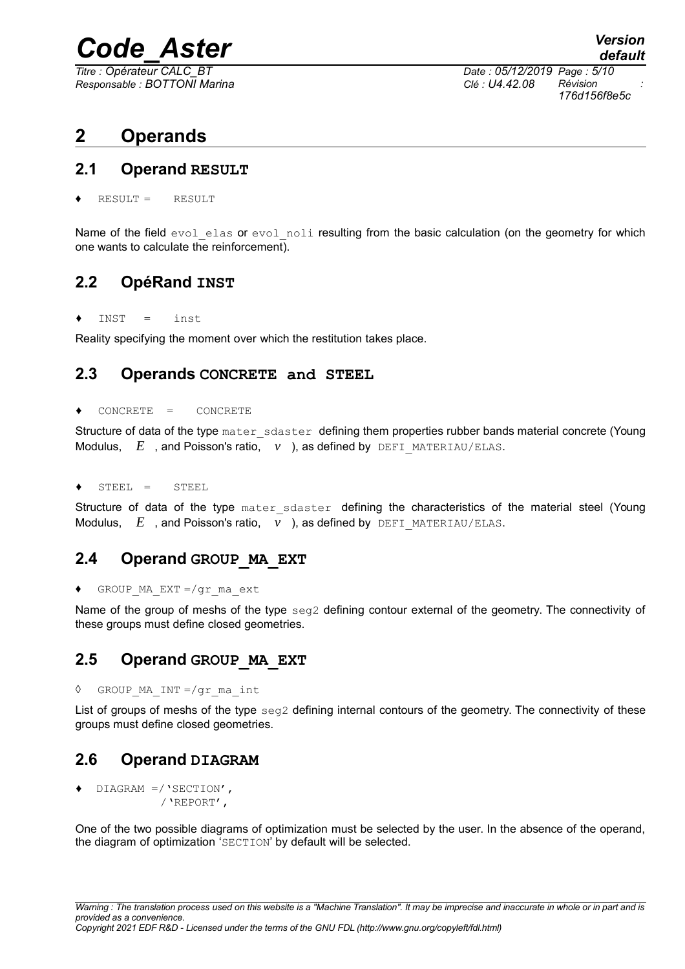*Responsable : BOTTONI Marina Clé : U4.42.08 Révision :*

*Titre : Opérateur CALC\_BT Date : 05/12/2019 Page : 5/10 176d156f8e5c*

#### **2 Operands**

#### **2.1 Operand RESULT**

 $RESULT = RESULT$ 

Name of the field evol elas or evol noli resulting from the basic calculation (on the geometry for which one wants to calculate the reinforcement).

#### **2.2 OpéRand INST**

 $INST =$  inst

Reality specifying the moment over which the restitution takes place.

#### **2.3 Operands CONCRETE and STEEL**

#### CONCRETE = CONCRETE

Structure of data of the type mater sdaster defining them properties rubber bands material concrete (Young Modulus, *E* , and Poisson's ratio, *ν* ), as defined by DEFI\_MATERIAU/ELAS.

 $STEEL = STEEL$ 

Structure of data of the type mater sdaster defining the characteristics of the material steel (Young Modulus, *E* , and Poisson's ratio, *ν* ), as defined by DEFI\_MATERIAU/ELAS.

#### **2.4 Operand GROUP\_MA\_EXT**

♦ GROUP\_MA\_EXT =/gr\_ma\_ext

Name of the group of meshs of the type seg2 defining contour external of the geometry. The connectivity of these groups must define closed geometries.

#### **2.5 Operand GROUP\_MA\_EXT**

◊ GROUP\_MA\_INT =/gr\_ma\_int

List of groups of meshs of the type seg2 defining internal contours of the geometry. The connectivity of these groups must define closed geometries.

#### **2.6 Operand DIAGRAM**

♦ DIAGRAM =/'SECTION', /'REPORT',

One of the two possible diagrams of optimization must be selected by the user. In the absence of the operand, the diagram of optimization 'SECTION' by default will be selected.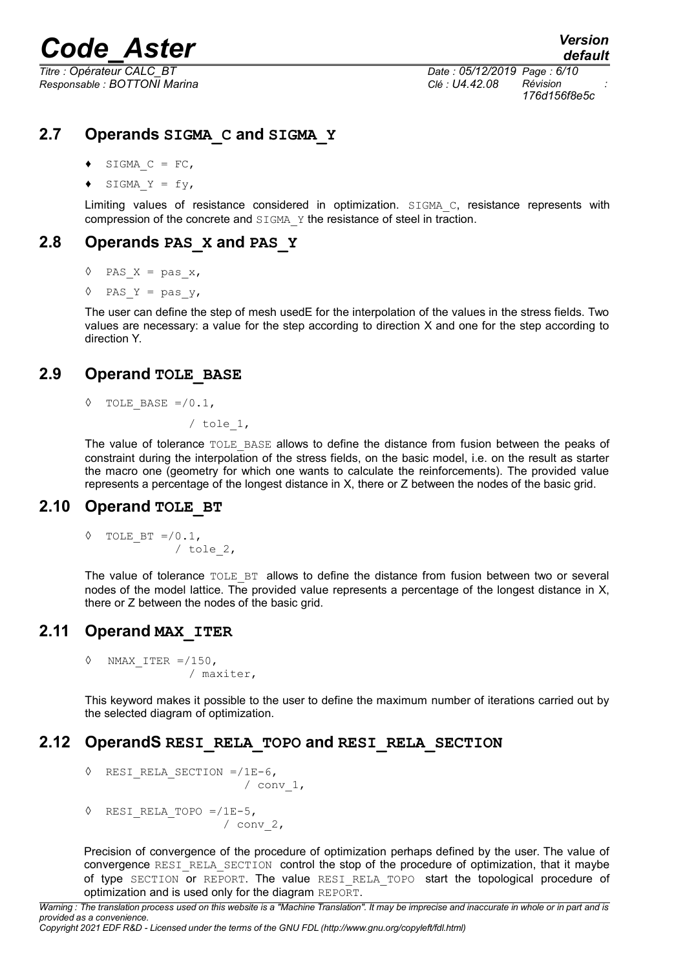*Responsable : BOTTONI Marina Clé : U4.42.08 Révision :*

*Titre : Opérateur CALC\_BT Date : 05/12/2019 Page : 6/10 176d156f8e5c*

#### **2.7 Operands SIGMA\_C and SIGMA\_Y**

- $\bullet$  SIGMA C = FC,
- SIGMA  $Y = fy$ ,

Limiting values of resistance considered in optimization. SIGMA C, resistance represents with compression of the concrete and SIGMA Y the resistance of steel in traction.

#### **2.8 Operands PAS\_X and PAS\_Y**

```
\Diamond PAS X = pas x,
```
 $\Diamond$  PAS Y = pas y,

The user can define the step of mesh usedE for the interpolation of the values in the stress fields. Two values are necessary: a value for the step according to direction X and one for the step according to direction Y.

#### **2.9 Operand TOLE\_BASE**

TOLE BASE  $=$  /0.1,

/ tole\_1,

The value of tolerance TOLE BASE allows to define the distance from fusion between the peaks of constraint during the interpolation of the stress fields, on the basic model, i.e. on the result as starter the macro one (geometry for which one wants to calculate the reinforcements). The provided value represents a percentage of the longest distance in X, there or Z between the nodes of the basic grid.

#### **2.10 Operand TOLE\_BT**

$$
\begin{array}{cc}\n\lozenge & \text{TOLE\_BT} = / 0.1, \\
\lozenge & \text{tole\_2,} \\
\end{array}
$$

The value of tolerance TOLE BT allows to define the distance from fusion between two or several nodes of the model lattice. The provided value represents a percentage of the longest distance in X, there or Z between the nodes of the basic grid.

#### **2.11 Operand MAX\_ITER**

 $\Diamond$  NMAX ITER =/150, / maxiter,

This keyword makes it possible to the user to define the maximum number of iterations carried out by the selected diagram of optimization.

#### **2.12 OperandS RESI\_RELA\_TOPO and RESI\_RELA\_SECTION**

```
◊ RESI_RELA_SECTION =/1E-6,
```

```
/ conv 1,
```
 $\Diamond$  RESI RELA TOPO =/1E-5, / conv\_2,

Precision of convergence of the procedure of optimization perhaps defined by the user. The value of convergence RESI\_RELA\_SECTION control the stop of the procedure of optimization, that it maybe of type SECTION or REPORT. The value RESI RELA TOPO start the topological procedure of optimization and is used only for the diagram REPORT.

```
Warning : The translation process used on this website is a "Machine Translation". It may be imprecise and inaccurate in whole or in part and is
provided as a convenience.
Copyright 2021 EDF R&D - Licensed under the terms of the GNU FDL (http://www.gnu.org/copyleft/fdl.html)
```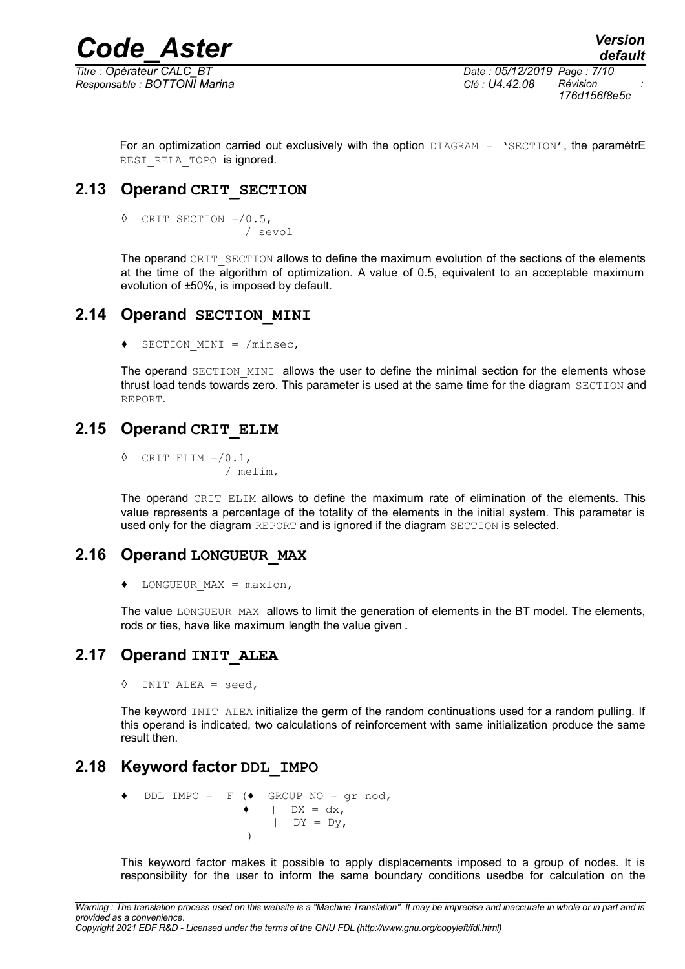*Responsable : BOTTONI Marina Clé : U4.42.08 Révision :*

*Titre : Opérateur CALC\_BT Date : 05/12/2019 Page : 7/10 176d156f8e5c*

For an optimization carried out exclusively with the option  $DIAGRAM = 'SECTION'$ , the paramètrE RESI RELA TOPO is ignored.

#### **2.13 Operand CRIT\_SECTION**

◊ CRIT\_SECTION =/0.5, / sevol

The operand CRIT\_SECTION allows to define the maximum evolution of the sections of the elements at the time of the algorithm of optimization. A value of 0.5, equivalent to an acceptable maximum evolution of ±50%, is imposed by default.

#### **2.14 Operand SECTION\_MINI**

♦ SECTION\_MINI = /minsec,

The operand SECTION MINI allows the user to define the minimal section for the elements whose thrust load tends towards zero. This parameter is used at the same time for the diagram SECTION and REPORT.

#### **2.15 Operand CRIT\_ELIM**

 $\Diamond$  CRIT ELIM =/0.1, / melim,

The operand CRIT ELIM allows to define the maximum rate of elimination of the elements. This value represents a percentage of the totality of the elements in the initial system. This parameter is used only for the diagram REPORT and is ignored if the diagram SECTION is selected.

#### **2.16 Operand LONGUEUR\_MAX**

 $\bullet$  LONGUEUR MAX = maxlon,

The value LONGUEUR MAX allows to limit the generation of elements in the BT model. The elements, rods or ties, have like maximum length the value given.

#### **2.17 Operand INIT\_ALEA**

 $\Diamond$  INIT ALEA = seed,

The keyword INIT\_ALEA initialize the germ of the random continuations used for a random pulling. If this operand is indicated, two calculations of reinforcement with same initialization produce the same result then.

#### **2.18 Keyword factor DDL\_IMPO**

$$
\begin{array}{cccc}\n\bullet & \text{DDL\_IMPO} & = & -F & (\bullet & \text{GROUP\_NO} = gr\_nod, \\
& & | & \text{DX} = dx, \\
& & | & \text{DY} = Dy,\n\end{array}
$$

This keyword factor makes it possible to apply displacements imposed to a group of nodes. It is responsibility for the user to inform the same boundary conditions usedbe for calculation on the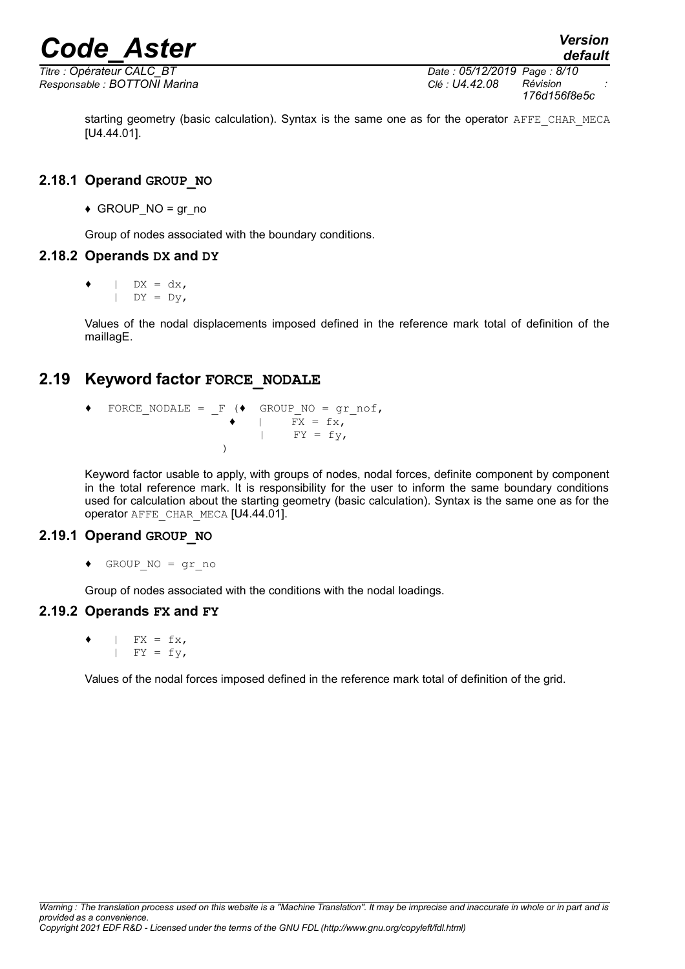*Responsable : BOTTONI Marina Clé : U4.42.08 Révision :*

*Titre : Opérateur CALC\_BT Date : 05/12/2019 Page : 8/10 176d156f8e5c*

starting geometry (basic calculation). Syntax is the same one as for the operator AFFE\_CHAR\_MECA [U4.44.01].

#### **2.18.1 Operand GROUP\_NO**

 $\triangleleft$  GROUP\_NO = gr\_no

Group of nodes associated with the boundary conditions.

#### **2.18.2 Operands DX and DY**

 $\bullet$  | DX = dx,  $|\quad DY = Dy$ ,

Values of the nodal displacements imposed defined in the reference mark total of definition of the maillagE.

#### **2.19 Keyword factor FORCE\_NODALE**

 $\blacklozenge$  FORCE NODALE = F ( $\blacklozenge$  GROUP NO = gr\_nof,  $\overline{Y} = fX,$ |  $FY = fy,$ )

> Keyword factor usable to apply, with groups of nodes, nodal forces, definite component by component in the total reference mark. It is responsibility for the user to inform the same boundary conditions used for calculation about the starting geometry (basic calculation). Syntax is the same one as for the operator AFFE\_CHAR\_MECA [U4.44.01].

#### **2.19.1 Operand GROUP\_NO**

♦ GROUP\_NO = gr\_no

Group of nodes associated with the conditions with the nodal loadings.

#### **2.19.2 Operands FX and FY**

 $|$  FX = fx,  $|$  FY = fy,

Values of the nodal forces imposed defined in the reference mark total of definition of the grid.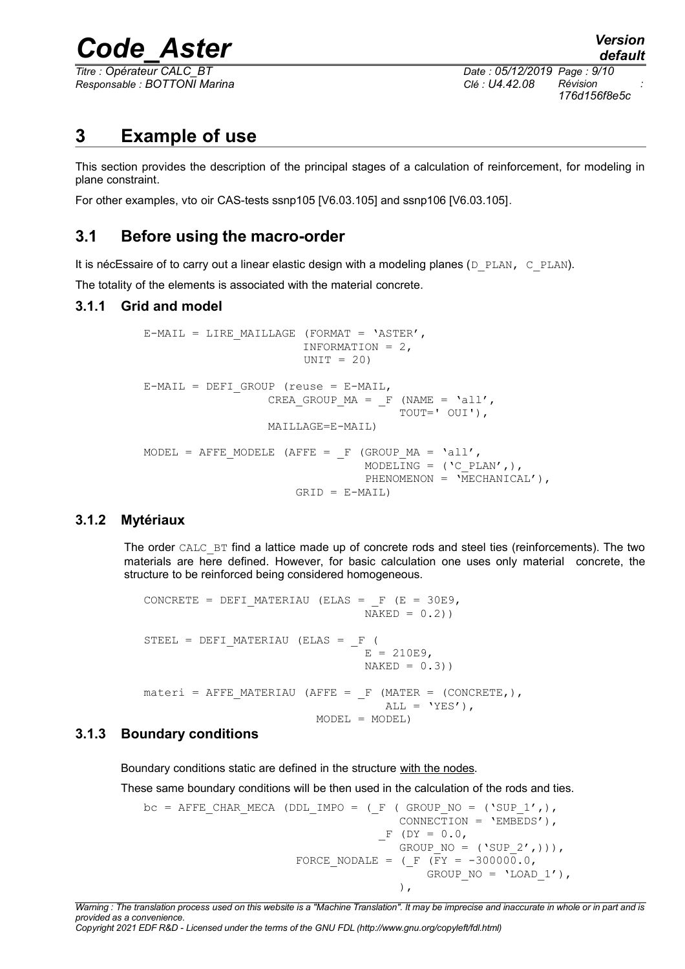*Titre : Opérateur CALC\_BT Date : 05/12/2019 Page : 9/10 Responsable : BOTTONI Marina Clé : U4.42.08 Révision :*

*176d156f8e5c*

**3 Example of use**

This section provides the description of the principal stages of a calculation of reinforcement, for modeling in plane constraint.

For other examples, vto oir CAS-tests ssnp105 [V6.03.105] and ssnp106 [V6.03.105].

#### **3.1 Before using the macro-order**

It is nécEssaire of to carry out a linear elastic design with a modeling planes ( $D$  PLAN, C\_PLAN).

The totality of the elements is associated with the material concrete.

#### **3.1.1 Grid and model**

```
E-MAIL = LIRE MAILLAGE (FORMAT = 'ASTER',
                          INFORMATION = 2,
                         UNIT = 20E-MAIL = DEFI GROUP (reuse = E-MAIL,
                    CREA_GROUP_MA = _F (NAME = 'all',
                                          TOUT=' OUI'),
                     MAILLAGE=E-MAIL)
MODEL = AFFE_MODELE (AFFE = _F (GROUP_MA = 'all',
                                   MODELING = (\Cpsilon \text{ PLAN'},),PHENOMENON = \overline{M}ECHANICAL'),
                         GRID = E-MAIL)
```
#### **3.1.2 Mytériaux**

The order CALC BT find a lattice made up of concrete rods and steel ties (reinforcements). The two materials are here defined. However, for basic calculation one uses only material concrete, the structure to be reinforced being considered homogeneous.

```
CONCRETE = DEFI_MATERIAU (ELAS = F (E = 30E9,
                                 NAKED = 0.2)STEEL = DEFI_MATERIAU (ELAS = F (
                                E = 210E9.
                                 NAKED = 0.3)\text{matter} = AFFE_MATERIAU (AFFE = _F (MATER = (CONCRETE,),
                                   ALL = 'YES'),
                         MODEL = MODEL)
```
#### **3.1.3 Boundary conditions**

Boundary conditions static are defined in the structure with the nodes.

These same boundary conditions will be then used in the calculation of the rods and ties.

```
bc = AFFE CHAR MECA (DDL IMPO = ( F ( GROUP NO = ('SUP 1',),
                                      CONNECTION = 'EMBEDS'),
                                   -F (DY = 0.0,GROUP NO = ('SUP 2',))),
                      FORCE NODALE = (F (FY = -3000000.0,GROUP NO = 'LOAD 1',\left( \begin{array}{c} 1 \end{array} \right),
```